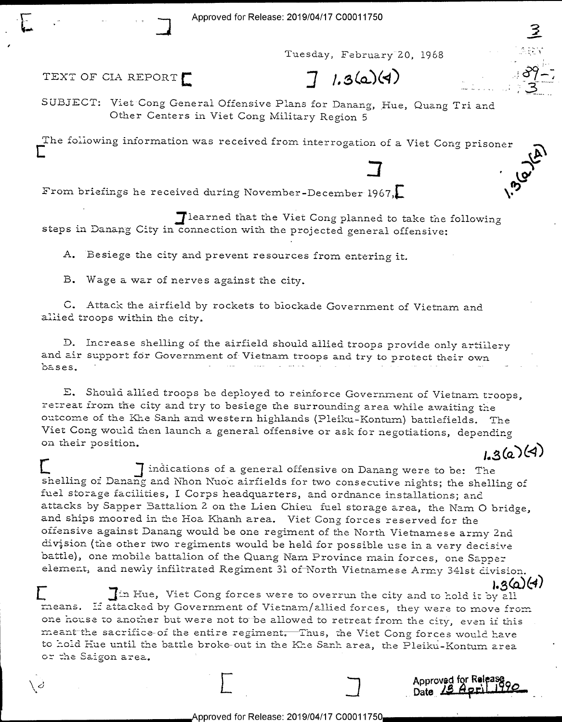In the contract of the contract of the contract of the contract of the contract of the contract of the contract of the contract of the contract of the contract of the contract of the contract of the contract of the contra Tuesday, February 20, 1968

 $\mathcal{C}$ 

TEXT OF CIA REPORT  $7/1.3(2)(4)$ 

 $\setminus$  c

SUBJECT: Viet Cong General Offensive Plans for Danang, Hue, Quang Tri and Other Centers in Viet Cong Military Region 5

The following information was received from interrogation of a Viet Cong prisoner

 $\overline{J}$   $\overline{V}$ From briefings he received during November-December 1967,

 $\Box$  learned that the Viet Cong planned to take the following steps in Danang City in connection with the projected general offensive:

A. Besiege the city and prevent resources from entering it.

B. Wage a war of nerves against the city.

C. Attack the airfield by rockets to blockade Government of Vietnam and allied troops within the city,

D. Increase shelling of the airfield should allied troops provide only artillery and air support for Government of Vietnam troops and try to protect their own bases.

E. Should allied troops be deployed to reinforce Government of Vietnam troops, retreat from the city and try to besiege the surrounding area while awaiting the Viet Cong would then launch a general offensive or ask for negotiations, depending<br>on their position. outcome of the Khe Sanh and western highlands (Pleiku-Kontum) battlefields. The

.<br>Tindications of a general offensive on Danang were to be: The I J indications of a general offensive on Danang were to be: The shelling of shelling and Nhon Nuoc airfields for two consecutive nights; the shelling of fuel storage facilities, I Corps headquarters, and ordnance installations; and attacks by Sapper Battalion 2 on the Lien Chieu fuel storage area, the Nam O bridge, and ships moored in the Hoa Khanh area. Viet Cong forces reserved for the offensive against Danang would be one regiment of the North Vietnamese army 2nd division (the other two regiments would be held for possible use in a very decisive battle), one mobile battalion of the Quang Narn Province main forces, one Sappe: element, and newly infiltrated Regiment 31 of North Vietnamese Army 341st division.

:.5<o.X47 E jin Hue, Viet Cong forces were to overrun the city and to hold it ':>y all one house to another but were not to be allowed to retreat from the city, even if this meant the sacrifice of the entire regiment. Thus, the Viet Cong forces would have to hold Hue until the battle broke-out in the Khe Sanh area, the Pleiku-Kontum area or the Saigon area.

<sup>E</sup>3 Appwvssf YR'? <sup>3</sup>\" V \_, Date, \_ \_ \_